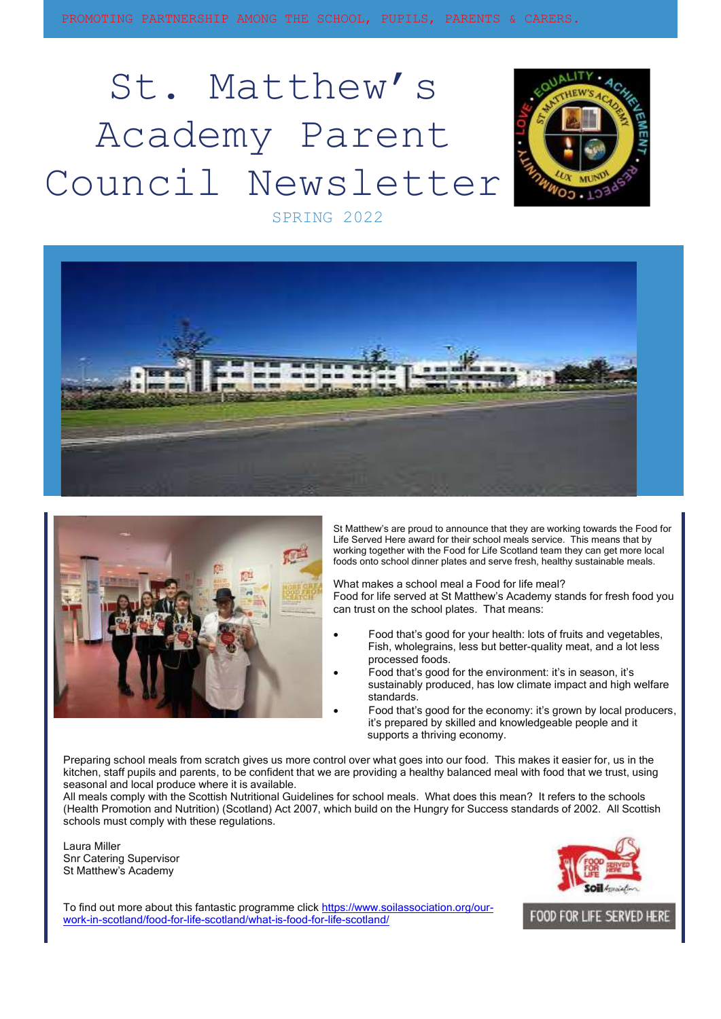# St. Matthew's Academy Parent Council Newsletter



SPRING 2022





St Matthew's are proud to announce that they are working towards the Food for Life Served Here award for their school meals service. This means that by working together with the Food for Life Scotland team they can get more local foods onto school dinner plates and serve fresh, healthy sustainable meals.

What makes a school meal a Food for life meal? Food for life served at St Matthew's Academy stands for fresh food you can trust on the school plates. That means:

- Food that's good for your health: lots of fruits and vegetables, Fish, wholegrains, less but better-quality meat, and a lot less processed foods.
- Food that's good for the environment: it's in season, it's sustainably produced, has low climate impact and high welfare standards.
- Food that's good for the economy: it's grown by local producers, it's prepared by skilled and knowledgeable people and it supports a thriving economy.

Preparing school meals from scratch gives us more control over what goes into our food. This makes it easier for, us in the kitchen, staff pupils and parents, to be confident that we are providing a healthy balanced meal with food that we trust, using seasonal and local produce where it is available.

All meals comply with the Scottish Nutritional Guidelines for school meals. What does this mean? It refers to the schools (Health Promotion and Nutrition) (Scotland) Act 2007, which build on the Hungry for Success standards of 2002. All Scottish schools must comply with these regulations.

Laura Miller Snr Catering Supervisor St Matthew's Academy



To find out more about this fantastic programme clic[k https://www.soilassociation.org/our](https://www.soilassociation.org/our-work-in-scotland/food-for-life-scotland/what-is-food-for-life-scotland/)[work-in-scotland/food-for-life-scotland/what-is-food-for-life-scotland/](https://www.soilassociation.org/our-work-in-scotland/food-for-life-scotland/what-is-food-for-life-scotland/)